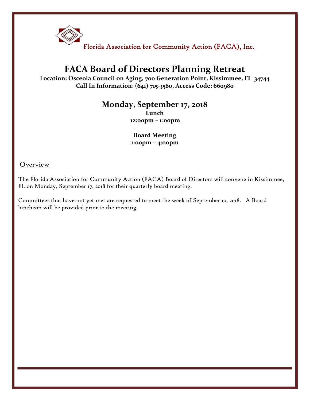

# FACA Board of Directors Planning Retreat

Location: Osceola Council on Aging, 700 Generation Point, Kissimmee, FL 34744 Call In Information: (641) 715-3580, Access Code: 660980

### Monday, September 17, 2018

 Lunch 12:00pm – 1:00pm

#### Board Meeting 1:00pm – 4:00pm

Overview

The Florida Association for Community Action (FACA) Board of Directors will convene in Kissimmee, FL on Monday, September 17, 2018 for their quarterly board meeting.

Committees that have not yet met are requested to meet the week of September 10, 2018. A Board luncheon will be provided prior to the meeting.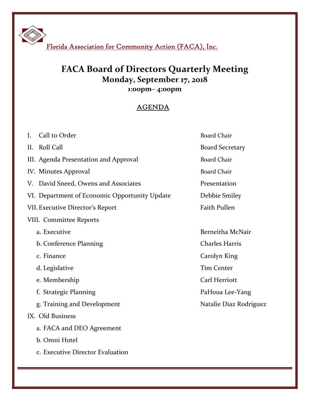Florida Association for Community Action (FACA), Inc.

## FACA Board of Directors Quarterly Meeting Monday, September 17, 2018 1:00pm– 4:00pm

### AGENDA

| Call to Order<br>$\mathbf{I}$ .               | <b>Board Chair</b>     |
|-----------------------------------------------|------------------------|
| Roll Call<br>II.                              | <b>Board Secretary</b> |
| III. Agenda Presentation and Approval         | <b>Board Chair</b>     |
| IV. Minutes Approval                          | <b>Board Chair</b>     |
| David Sneed, Owens and Associates<br>V.       | Presentation           |
| VI. Department of Economic Opportunity Update | Debbie Smiley          |
| <b>VII. Executive Director's Report</b>       | <b>Faith Pullen</b>    |
| VIII. Committee Reports                       |                        |
| a. Executive                                  | Berneitha McNair       |
| b. Conference Planning                        | <b>Charles Harris</b>  |
| c. Finance                                    | Carolyn King           |
| d. Legislative                                | <b>Tim Center</b>      |
| e. Membership                                 | Carl Herriott          |
| f. Strategic Planning                         | PaHoua Lee-Yang        |
| g. Training and Development                   | Natalie Diaz Rodriguez |
| IX. Old Business                              |                        |
| a. FACA and DEO Agreement                     |                        |
| b. Omni Hotel                                 |                        |
| c. Executive Director Evaluation              |                        |